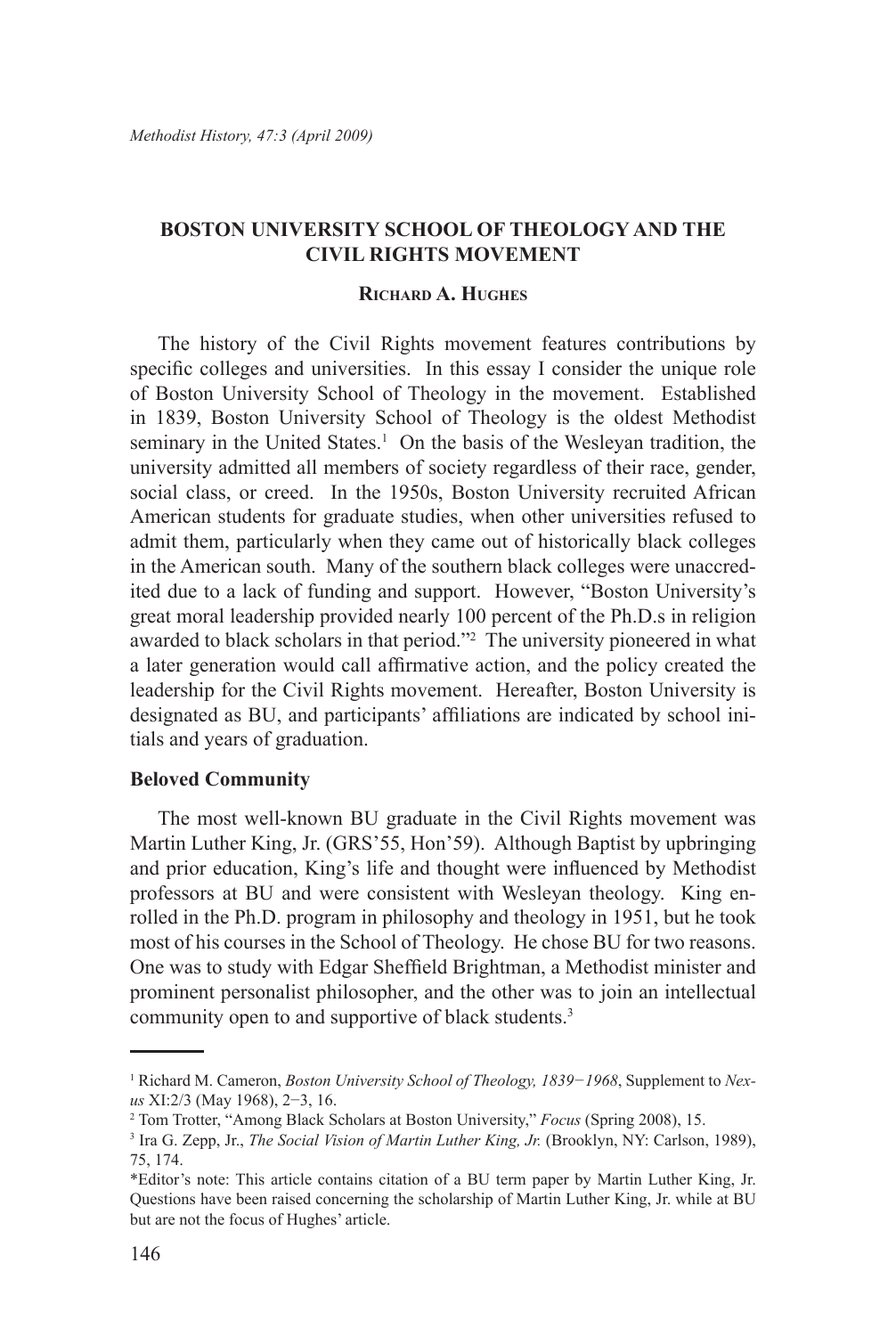# **Boston University School of Theology and the Civil Rights Movement**

### **Richard A. Hughes**

The history of the Civil Rights movement features contributions by specific colleges and universities. In this essay I consider the unique role of Boston University School of Theology in the movement. Established in 1839, Boston University School of Theology is the oldest Methodist seminary in the United States.<sup>1</sup> On the basis of the Wesleyan tradition, the university admitted all members of society regardless of their race, gender, social class, or creed. In the 1950s, Boston University recruited African American students for graduate studies, when other universities refused to admit them, particularly when they came out of historically black colleges in the American south. Many of the southern black colleges were unaccredited due to a lack of funding and support. However, "Boston University's great moral leadership provided nearly 100 percent of the Ph.D.s in religion awarded to black scholars in that period."2 The university pioneered in what a later generation would call affirmative action, and the policy created the leadership for the Civil Rights movement. Hereafter, Boston University is designated as BU, and participants' affiliations are indicated by school initials and years of graduation.

### **Beloved Community**

The most well-known BU graduate in the Civil Rights movement was Martin Luther King, Jr. (GRS'55, Hon'59). Although Baptist by upbringing and prior education, King's life and thought were influenced by Methodist professors at BU and were consistent with Wesleyan theology. King enrolled in the Ph.D. program in philosophy and theology in 1951, but he took most of his courses in the School of Theology. He chose BU for two reasons. One was to study with Edgar Sheffield Brightman, a Methodist minister and prominent personalist philosopher, and the other was to join an intellectual community open to and supportive of black students.<sup>3</sup>

<sup>1</sup> Richard M. Cameron, *Boston University School of Theology, 1839−1968*, Supplement to *Nexus* XI:2/3 (May 1968), 2−3, 16.

<sup>2</sup> Tom Trotter, "Among Black Scholars at Boston University," *Focus* (Spring 2008), 15.

<sup>3</sup> Ira G. Zepp, Jr., *The Social Vision of Martin Luther King, Jr.* (Brooklyn, NY: Carlson, 1989), 75, 174.

<sup>\*</sup>Editor's note: This article contains citation of a BU term paper by Martin Luther King, Jr. Questions have been raised concerning the scholarship of Martin Luther King, Jr. while at BU but are not the focus of Hughes' article.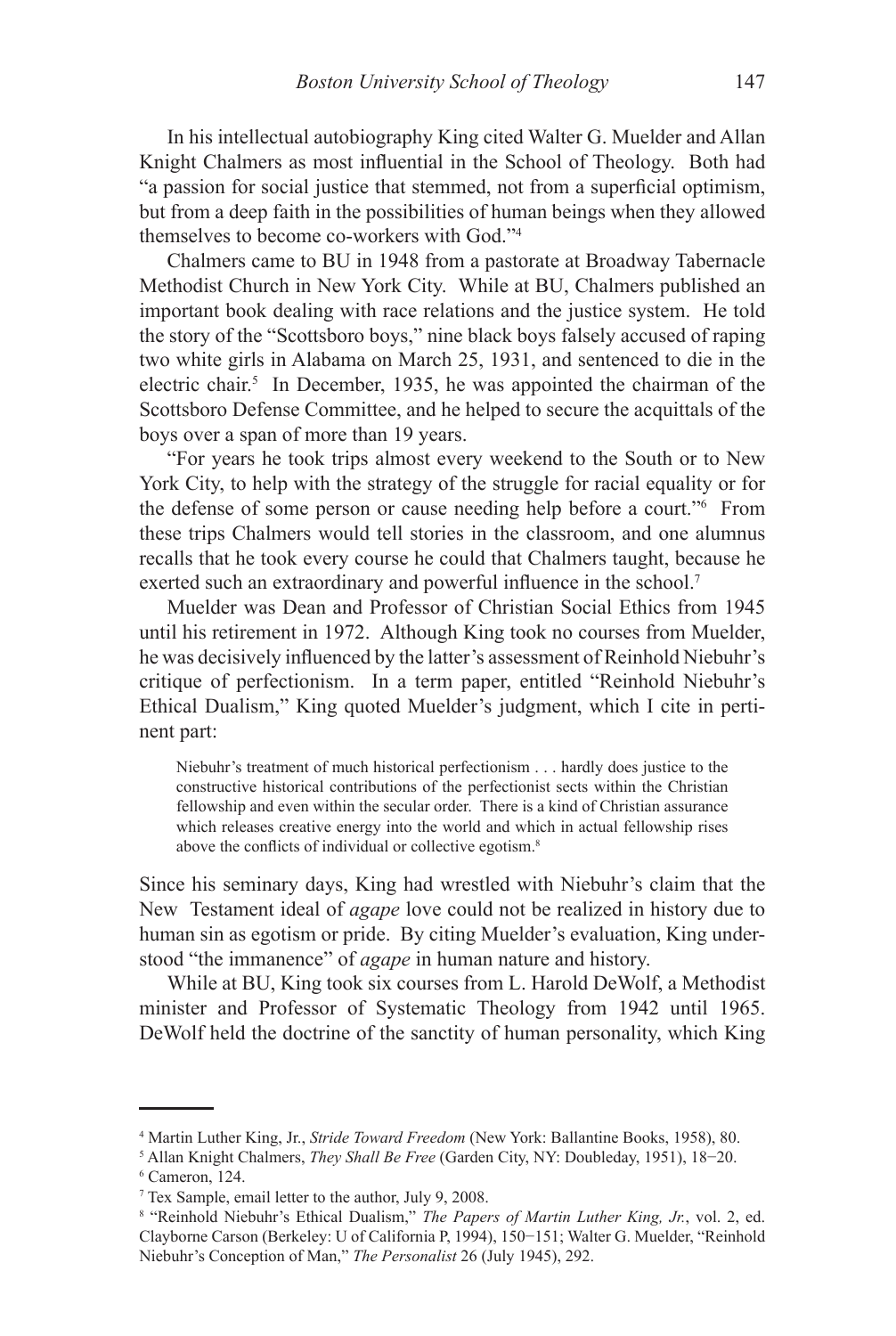In his intellectual autobiography King cited Walter G. Muelder and Allan Knight Chalmers as most influential in the School of Theology. Both had "a passion for social justice that stemmed, not from a superficial optimism, but from a deep faith in the possibilities of human beings when they allowed themselves to become co-workers with God."4

Chalmers came to BU in 1948 from a pastorate at Broadway Tabernacle Methodist Church in New York City. While at BU, Chalmers published an important book dealing with race relations and the justice system. He told the story of the "Scottsboro boys," nine black boys falsely accused of raping two white girls in Alabama on March 25, 1931, and sentenced to die in the electric chair.<sup>5</sup> In December, 1935, he was appointed the chairman of the Scottsboro Defense Committee, and he helped to secure the acquittals of the boys over a span of more than 19 years.

"For years he took trips almost every weekend to the South or to New York City, to help with the strategy of the struggle for racial equality or for the defense of some person or cause needing help before a court."6 From these trips Chalmers would tell stories in the classroom, and one alumnus recalls that he took every course he could that Chalmers taught, because he exerted such an extraordinary and powerful influence in the school.<sup>7</sup>

Muelder was Dean and Professor of Christian Social Ethics from 1945 until his retirement in 1972. Although King took no courses from Muelder, he was decisively influenced by the latter's assessment of Reinhold Niebuhr's critique of perfectionism. In a term paper, entitled "Reinhold Niebuhr's Ethical Dualism," King quoted Muelder's judgment, which I cite in pertinent part:

Niebuhr's treatment of much historical perfectionism . . . hardly does justice to the constructive historical contributions of the perfectionist sects within the Christian fellowship and even within the secular order. There is a kind of Christian assurance which releases creative energy into the world and which in actual fellowship rises above the conflicts of individual or collective egotism.<sup>8</sup>

Since his seminary days, King had wrestled with Niebuhr's claim that the New Testament ideal of *agape* love could not be realized in history due to human sin as egotism or pride. By citing Muelder's evaluation, King understood "the immanence" of *agape* in human nature and history.

While at BU, King took six courses from L. Harold DeWolf, a Methodist minister and Professor of Systematic Theology from 1942 until 1965. DeWolf held the doctrine of the sanctity of human personality, which King

<sup>4</sup> Martin Luther King, Jr., *Stride Toward Freedom* (New York: Ballantine Books, 1958), 80.

<sup>5</sup> Allan Knight Chalmers, *They Shall Be Free* (Garden City, NY: Doubleday, 1951), 18−20.

<sup>6</sup> Cameron, 124.

<sup>7</sup> Tex Sample, email letter to the author, July 9, 2008.

<sup>8</sup> "Reinhold Niebuhr's Ethical Dualism," *The Papers of Martin Luther King, Jr.*, vol. 2, ed. Clayborne Carson (Berkeley: U of California P, 1994), 150−151; Walter G. Muelder, "Reinhold Niebuhr's Conception of Man," *The Personalist* 26 (July 1945), 292.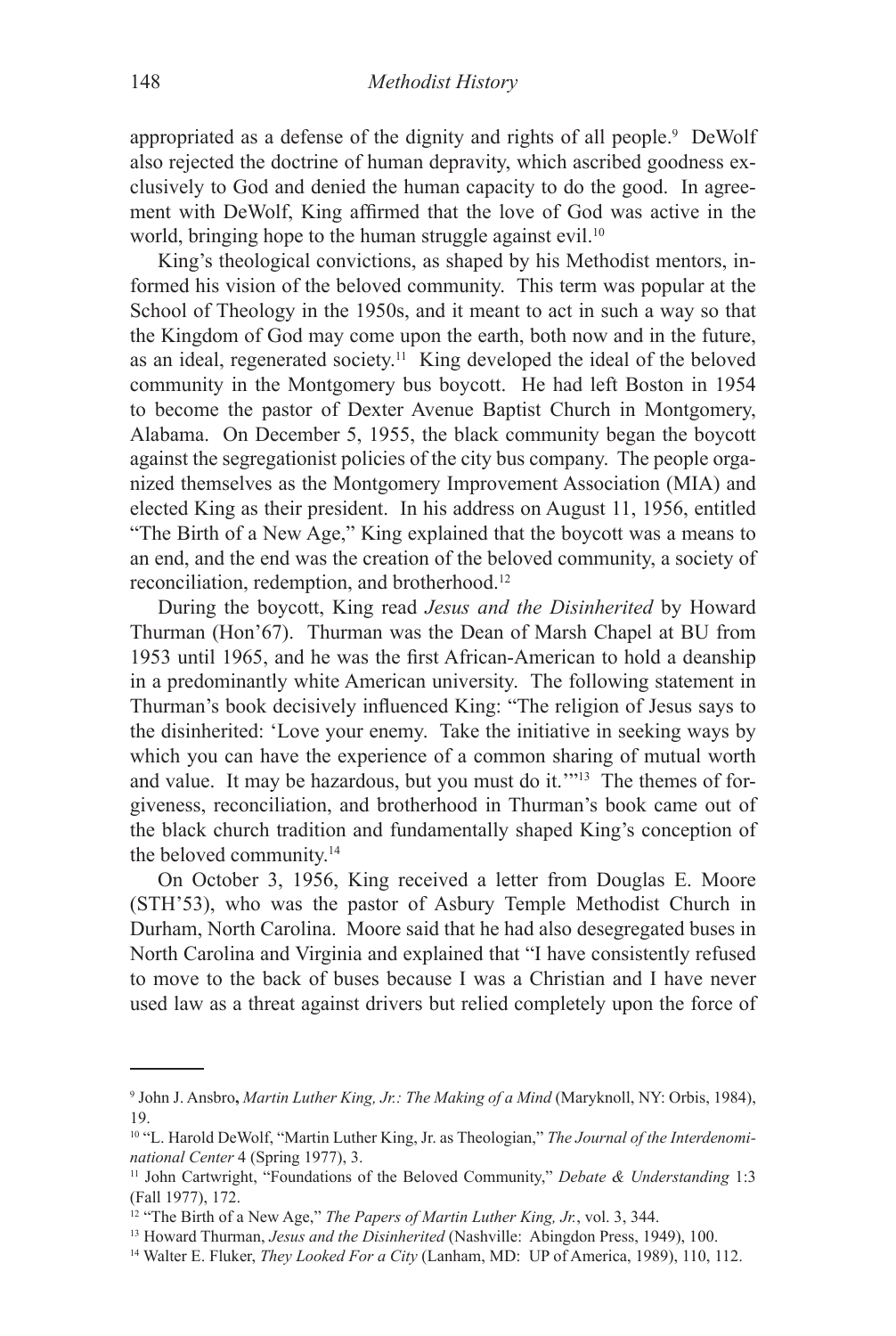appropriated as a defense of the dignity and rights of all people.<sup>9</sup> DeWolf also rejected the doctrine of human depravity, which ascribed goodness exclusively to God and denied the human capacity to do the good. In agreement with DeWolf, King affirmed that the love of God was active in the world, bringing hope to the human struggle against evil.<sup>10</sup>

King's theological convictions, as shaped by his Methodist mentors, informed his vision of the beloved community. This term was popular at the School of Theology in the 1950s, and it meant to act in such a way so that the Kingdom of God may come upon the earth, both now and in the future, as an ideal, regenerated society.11 King developed the ideal of the beloved community in the Montgomery bus boycott. He had left Boston in 1954 to become the pastor of Dexter Avenue Baptist Church in Montgomery, Alabama. On December 5, 1955, the black community began the boycott against the segregationist policies of the city bus company. The people organized themselves as the Montgomery Improvement Association (MIA) and elected King as their president. In his address on August 11, 1956, entitled "The Birth of a New Age," King explained that the boycott was a means to an end, and the end was the creation of the beloved community, a society of reconciliation, redemption, and brotherhood.12

During the boycott, King read *Jesus and the Disinherited* by Howard Thurman (Hon'67). Thurman was the Dean of Marsh Chapel at BU from 1953 until 1965, and he was the first African-American to hold a deanship in a predominantly white American university. The following statement in Thurman's book decisively influenced King: "The religion of Jesus says to the disinherited: 'Love your enemy. Take the initiative in seeking ways by which you can have the experience of a common sharing of mutual worth and value. It may be hazardous, but you must do it.'"13 The themes of forgiveness, reconciliation, and brotherhood in Thurman's book came out of the black church tradition and fundamentally shaped King's conception of the beloved community.14

On October 3, 1956, King received a letter from Douglas E. Moore (STH'53), who was the pastor of Asbury Temple Methodist Church in Durham, North Carolina. Moore said that he had also desegregated buses in North Carolina and Virginia and explained that "I have consistently refused to move to the back of buses because I was a Christian and I have never used law as a threat against drivers but relied completely upon the force of

<sup>9</sup> John J. Ansbro**,** *Martin Luther King, Jr.: The Making of a Mind* (Maryknoll, NY: Orbis, 1984), 19.

<sup>10 &</sup>quot;L. Harold DeWolf, "Martin Luther King, Jr. as Theologian," *The Journal of the Interdenominational Center* 4 (Spring 1977), 3.

<sup>11</sup> John Cartwright, "Foundations of the Beloved Community," *Debate & Understanding* 1:3 (Fall 1977), 172.

<sup>12 &</sup>quot;The Birth of a New Age," *The Papers of Martin Luther King, Jr.*, vol. 3, 344.

<sup>13</sup> Howard Thurman, *Jesus and the Disinherited* (Nashville: Abingdon Press, 1949), 100.

<sup>14</sup> Walter E. Fluker, *They Looked For a City* (Lanham, MD: UP of America, 1989), 110, 112.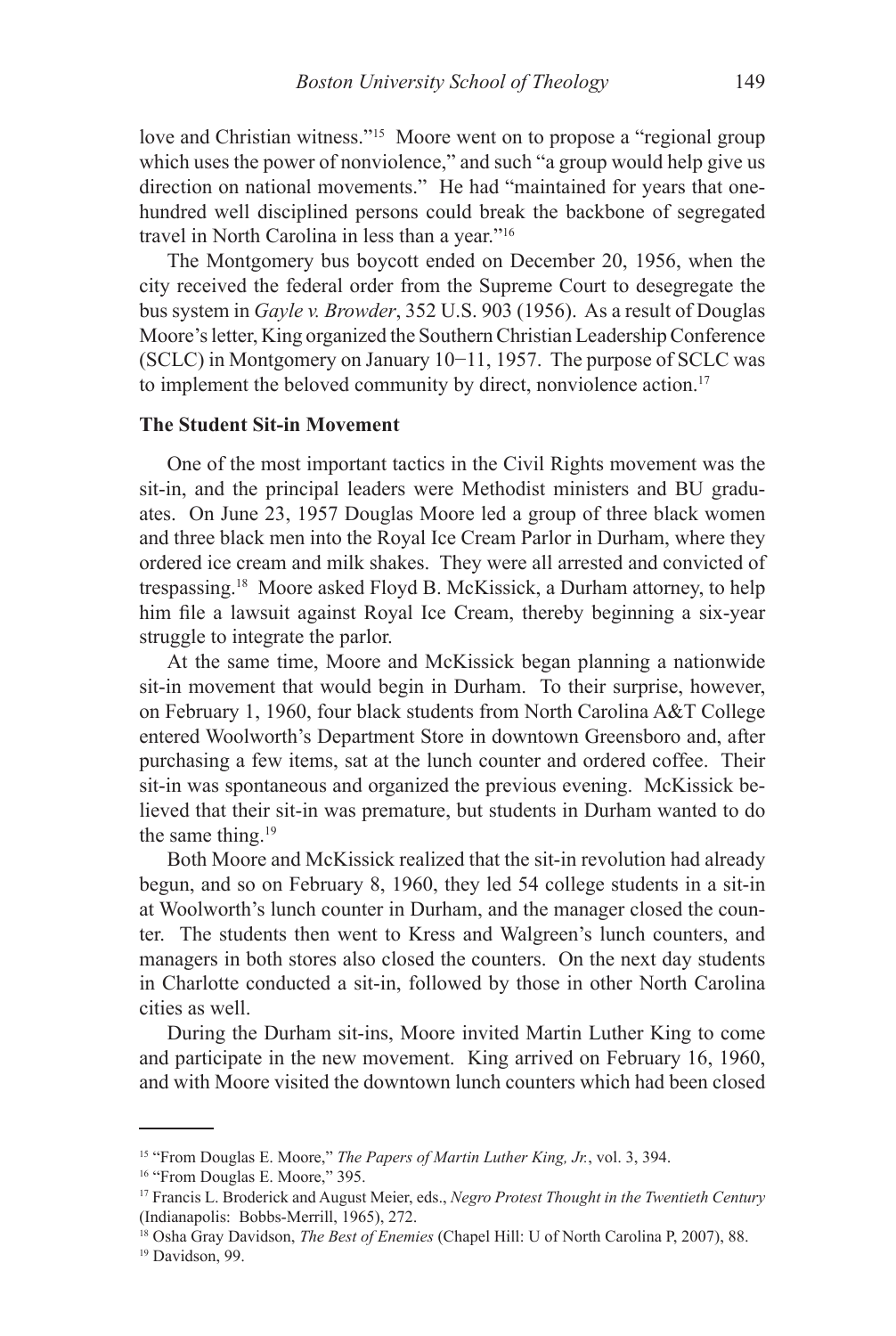love and Christian witness."15 Moore went on to propose a "regional group which uses the power of nonviolence," and such "a group would help give us direction on national movements." He had "maintained for years that onehundred well disciplined persons could break the backbone of segregated travel in North Carolina in less than a year."16

The Montgomery bus boycott ended on December 20, 1956, when the city received the federal order from the Supreme Court to desegregate the bus system in *Gayle v. Browder*, 352 U.S. 903 (1956). As a result of Douglas Moore's letter, King organized the Southern Christian Leadership Conference (SCLC) in Montgomery on January 10−11, 1957. The purpose of SCLC was to implement the beloved community by direct, nonviolence action.<sup>17</sup>

#### **The Student Sit-in Movement**

One of the most important tactics in the Civil Rights movement was the sit-in, and the principal leaders were Methodist ministers and BU graduates. On June 23, 1957 Douglas Moore led a group of three black women and three black men into the Royal Ice Cream Parlor in Durham, where they ordered ice cream and milk shakes. They were all arrested and convicted of trespassing.18 Moore asked Floyd B. McKissick, a Durham attorney, to help him file a lawsuit against Royal Ice Cream, thereby beginning a six-year struggle to integrate the parlor.

At the same time, Moore and McKissick began planning a nationwide sit-in movement that would begin in Durham. To their surprise, however, on February 1, 1960, four black students from North Carolina A&T College entered Woolworth's Department Store in downtown Greensboro and, after purchasing a few items, sat at the lunch counter and ordered coffee. Their sit-in was spontaneous and organized the previous evening. McKissick believed that their sit-in was premature, but students in Durham wanted to do the same thing.<sup>19</sup>

Both Moore and McKissick realized that the sit-in revolution had already begun, and so on February 8, 1960, they led 54 college students in a sit-in at Woolworth's lunch counter in Durham, and the manager closed the counter. The students then went to Kress and Walgreen's lunch counters, and managers in both stores also closed the counters. On the next day students in Charlotte conducted a sit-in, followed by those in other North Carolina cities as well.

During the Durham sit-ins, Moore invited Martin Luther King to come and participate in the new movement. King arrived on February 16, 1960, and with Moore visited the downtown lunch counters which had been closed

<sup>15 &</sup>quot;From Douglas E. Moore," *The Papers of Martin Luther King, Jr.*, vol. 3, 394.

<sup>&</sup>lt;sup>16</sup> "From Douglas E. Moore," 395.

<sup>17</sup> Francis L. Broderick and August Meier, eds., *Negro Protest Thought in the Twentieth Century* (Indianapolis: Bobbs-Merrill, 1965), 272.

<sup>18</sup> Osha Gray Davidson, *The Best of Enemies* (Chapel Hill: U of North Carolina P, 2007), 88. <sup>19</sup> Davidson, 99.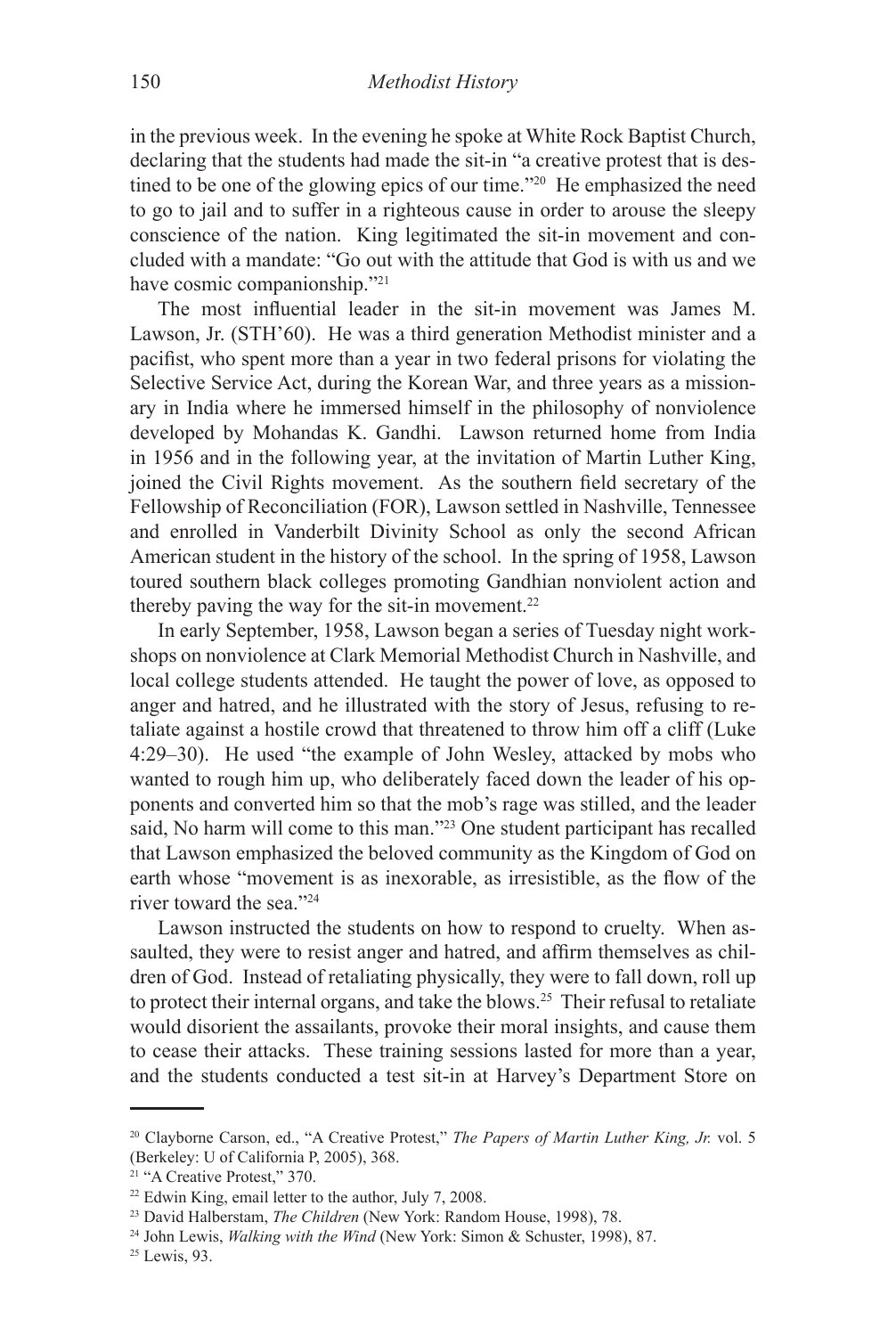in the previous week. In the evening he spoke at White Rock Baptist Church, declaring that the students had made the sit-in "a creative protest that is destined to be one of the glowing epics of our time."20 He emphasized the need to go to jail and to suffer in a righteous cause in order to arouse the sleepy conscience of the nation. King legitimated the sit-in movement and concluded with a mandate: "Go out with the attitude that God is with us and we have cosmic companionship."21

The most influential leader in the sit-in movement was James M. Lawson, Jr. (STH'60). He was a third generation Methodist minister and a pacifist, who spent more than a year in two federal prisons for violating the Selective Service Act, during the Korean War, and three years as a missionary in India where he immersed himself in the philosophy of nonviolence developed by Mohandas K. Gandhi. Lawson returned home from India in 1956 and in the following year, at the invitation of Martin Luther King, joined the Civil Rights movement. As the southern field secretary of the Fellowship of Reconciliation (FOR), Lawson settled in Nashville, Tennessee and enrolled in Vanderbilt Divinity School as only the second African American student in the history of the school. In the spring of 1958, Lawson toured southern black colleges promoting Gandhian nonviolent action and thereby paving the way for the sit-in movement.<sup>22</sup>

In early September, 1958, Lawson began a series of Tuesday night workshops on nonviolence at Clark Memorial Methodist Church in Nashville, and local college students attended. He taught the power of love, as opposed to anger and hatred, and he illustrated with the story of Jesus, refusing to retaliate against a hostile crowd that threatened to throw him off a cliff (Luke 4:29–30). He used "the example of John Wesley, attacked by mobs who wanted to rough him up, who deliberately faced down the leader of his opponents and converted him so that the mob's rage was stilled, and the leader said, No harm will come to this man."23 One student participant has recalled that Lawson emphasized the beloved community as the Kingdom of God on earth whose "movement is as inexorable, as irresistible, as the flow of the river toward the sea."24

Lawson instructed the students on how to respond to cruelty. When assaulted, they were to resist anger and hatred, and affirm themselves as children of God. Instead of retaliating physically, they were to fall down, roll up to protect their internal organs, and take the blows.25 Their refusal to retaliate would disorient the assailants, provoke their moral insights, and cause them to cease their attacks. These training sessions lasted for more than a year, and the students conducted a test sit-in at Harvey's Department Store on

<sup>20</sup> Clayborne Carson, ed., "A Creative Protest," *The Papers of Martin Luther King, Jr.* vol. 5 (Berkeley: U of California P, 2005), 368.

<sup>&</sup>lt;sup>21</sup> "A Creative Protest," 370.

<sup>22</sup> Edwin King, email letter to the author, July 7, 2008.

<sup>23</sup> David Halberstam, *The Children* (New York: Random House, 1998), 78.

<sup>24</sup> John Lewis, *Walking with the Wind* (New York: Simon & Schuster, 1998), 87.

<sup>&</sup>lt;sup>25</sup> Lewis, 93.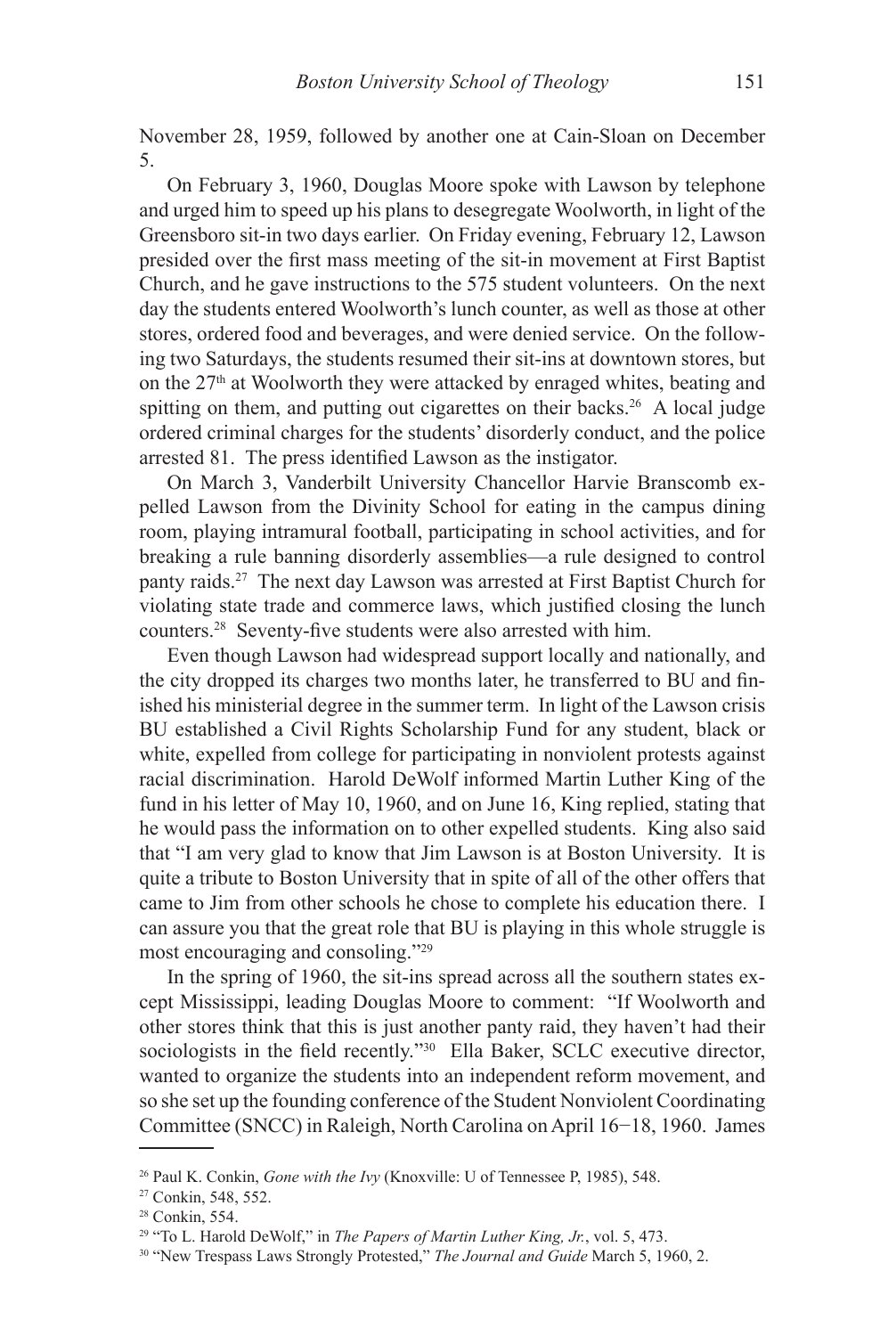November 28, 1959, followed by another one at Cain-Sloan on December 5.

On February 3, 1960, Douglas Moore spoke with Lawson by telephone and urged him to speed up his plans to desegregate Woolworth, in light of the Greensboro sit-in two days earlier. On Friday evening, February 12, Lawson presided over the first mass meeting of the sit-in movement at First Baptist Church, and he gave instructions to the 575 student volunteers. On the next day the students entered Woolworth's lunch counter, as well as those at other stores, ordered food and beverages, and were denied service. On the following two Saturdays, the students resumed their sit-ins at downtown stores, but on the  $27<sup>th</sup>$  at Woolworth they were attacked by enraged whites, beating and spitting on them, and putting out cigarettes on their backs.<sup>26</sup> A local judge ordered criminal charges for the students' disorderly conduct, and the police arrested 81. The press identified Lawson as the instigator.

On March 3, Vanderbilt University Chancellor Harvie Branscomb expelled Lawson from the Divinity School for eating in the campus dining room, playing intramural football, participating in school activities, and for breaking a rule banning disorderly assemblies—a rule designed to control panty raids.27 The next day Lawson was arrested at First Baptist Church for violating state trade and commerce laws, which justified closing the lunch counters.28 Seventy-five students were also arrested with him.

Even though Lawson had widespread support locally and nationally, and the city dropped its charges two months later, he transferred to BU and finished his ministerial degree in the summer term. In light of the Lawson crisis BU established a Civil Rights Scholarship Fund for any student, black or white, expelled from college for participating in nonviolent protests against racial discrimination. Harold DeWolf informed Martin Luther King of the fund in his letter of May 10, 1960, and on June 16, King replied, stating that he would pass the information on to other expelled students. King also said that "I am very glad to know that Jim Lawson is at Boston University. It is quite a tribute to Boston University that in spite of all of the other offers that came to Jim from other schools he chose to complete his education there. I can assure you that the great role that BU is playing in this whole struggle is most encouraging and consoling."29

In the spring of 1960, the sit-ins spread across all the southern states except Mississippi, leading Douglas Moore to comment: "If Woolworth and other stores think that this is just another panty raid, they haven't had their sociologists in the field recently."<sup>30</sup> Ella Baker, SCLC executive director, wanted to organize the students into an independent reform movement, and so she set up the founding conference of the Student Nonviolent Coordinating Committee (SNCC) in Raleigh, North Carolina on April 16−18, 1960. James

<sup>26</sup> Paul K. Conkin, *Gone with the Ivy* (Knoxville: U of Tennessee P, 1985), 548.

<sup>27</sup> Conkin, 548, 552.

<sup>28</sup> Conkin, 554.

<sup>29 &</sup>quot;To L. Harold DeWolf," in *The Papers of Martin Luther King, Jr.*, vol. 5, 473.

<sup>30 &</sup>quot;New Trespass Laws Strongly Protested," *The Journal and Guide* March 5, 1960, 2.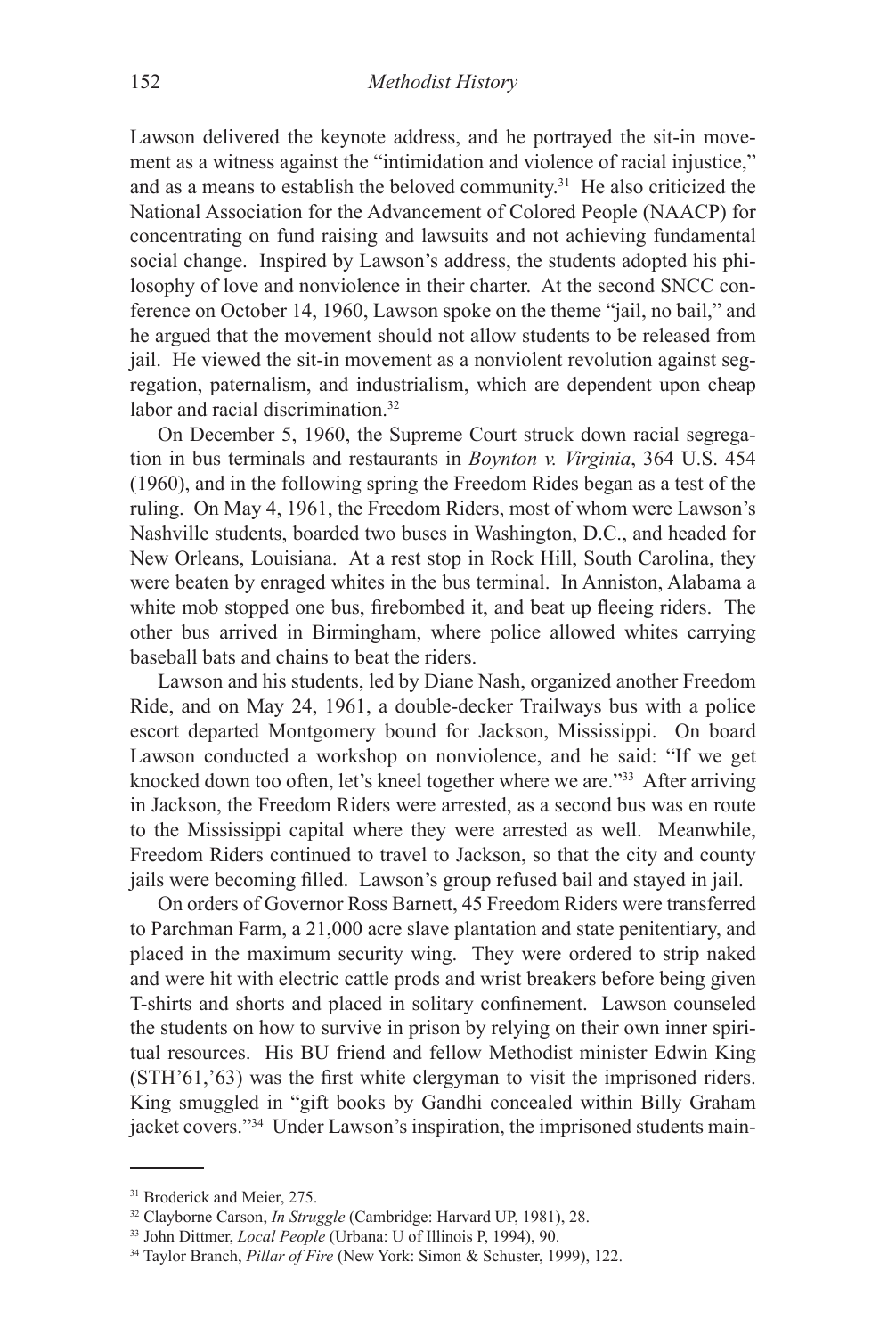Lawson delivered the keynote address, and he portrayed the sit-in movement as a witness against the "intimidation and violence of racial injustice," and as a means to establish the beloved community.<sup>31</sup> He also criticized the National Association for the Advancement of Colored People (NAACP) for concentrating on fund raising and lawsuits and not achieving fundamental social change. Inspired by Lawson's address, the students adopted his philosophy of love and nonviolence in their charter. At the second SNCC conference on October 14, 1960, Lawson spoke on the theme "jail, no bail," and he argued that the movement should not allow students to be released from jail. He viewed the sit-in movement as a nonviolent revolution against segregation, paternalism, and industrialism, which are dependent upon cheap labor and racial discrimination.<sup>32</sup>

On December 5, 1960, the Supreme Court struck down racial segregation in bus terminals and restaurants in *Boynton v. Virginia*, 364 U.S. 454 (1960), and in the following spring the Freedom Rides began as a test of the ruling. On May 4, 1961, the Freedom Riders, most of whom were Lawson's Nashville students, boarded two buses in Washington, D.C., and headed for New Orleans, Louisiana. At a rest stop in Rock Hill, South Carolina, they were beaten by enraged whites in the bus terminal. In Anniston, Alabama a white mob stopped one bus, firebombed it, and beat up fleeing riders. The other bus arrived in Birmingham, where police allowed whites carrying baseball bats and chains to beat the riders.

Lawson and his students, led by Diane Nash, organized another Freedom Ride, and on May 24, 1961, a double-decker Trailways bus with a police escort departed Montgomery bound for Jackson, Mississippi. On board Lawson conducted a workshop on nonviolence, and he said: "If we get knocked down too often, let's kneel together where we are."33 After arriving in Jackson, the Freedom Riders were arrested, as a second bus was en route to the Mississippi capital where they were arrested as well. Meanwhile, Freedom Riders continued to travel to Jackson, so that the city and county jails were becoming filled. Lawson's group refused bail and stayed in jail.

On orders of Governor Ross Barnett, 45 Freedom Riders were transferred to Parchman Farm, a 21,000 acre slave plantation and state penitentiary, and placed in the maximum security wing. They were ordered to strip naked and were hit with electric cattle prods and wrist breakers before being given T-shirts and shorts and placed in solitary confinement. Lawson counseled the students on how to survive in prison by relying on their own inner spiritual resources. His BU friend and fellow Methodist minister Edwin King (STH'61,'63) was the first white clergyman to visit the imprisoned riders. King smuggled in "gift books by Gandhi concealed within Billy Graham jacket covers."34 Under Lawson's inspiration, the imprisoned students main-

<sup>&</sup>lt;sup>31</sup> Broderick and Meier, 275.

<sup>32</sup> Clayborne Carson, *In Struggle* (Cambridge: Harvard UP, 1981), 28.

<sup>33</sup> John Dittmer, *Local People* (Urbana: U of Illinois P, 1994), 90.

<sup>34</sup> Taylor Branch, *Pillar of Fire* (New York: Simon & Schuster, 1999), 122.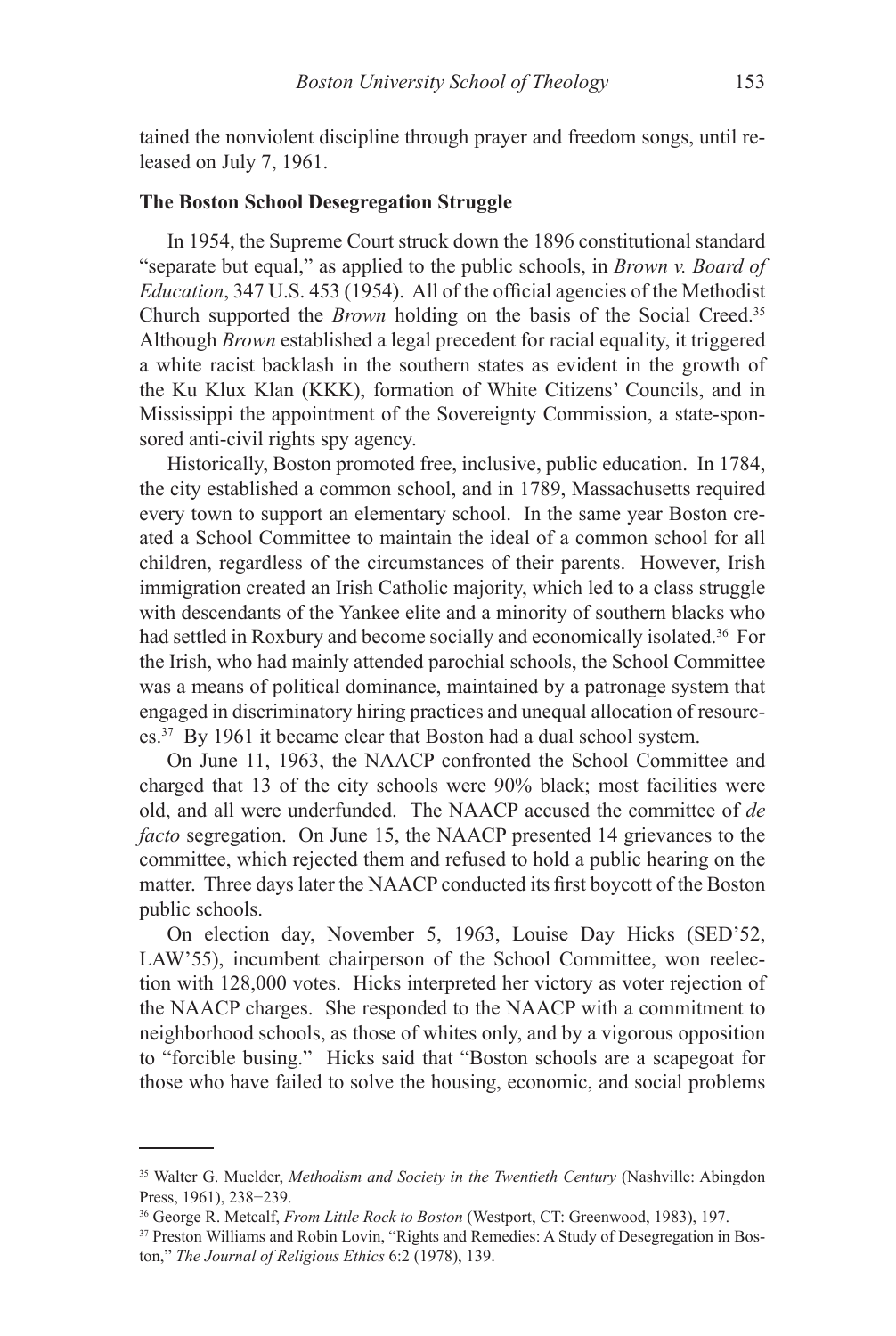tained the nonviolent discipline through prayer and freedom songs, until released on July 7, 1961.

# **The Boston School Desegregation Struggle**

In 1954, the Supreme Court struck down the 1896 constitutional standard "separate but equal," as applied to the public schools, in *Brown v. Board of Education*, 347 U.S. 453 (1954). All of the official agencies of the Methodist Church supported the *Brown* holding on the basis of the Social Creed.35 Although *Brown* established a legal precedent for racial equality, it triggered a white racist backlash in the southern states as evident in the growth of the Ku Klux Klan (KKK), formation of White Citizens' Councils, and in Mississippi the appointment of the Sovereignty Commission, a state-sponsored anti-civil rights spy agency.

Historically, Boston promoted free, inclusive, public education. In 1784, the city established a common school, and in 1789, Massachusetts required every town to support an elementary school. In the same year Boston created a School Committee to maintain the ideal of a common school for all children, regardless of the circumstances of their parents. However, Irish immigration created an Irish Catholic majority, which led to a class struggle with descendants of the Yankee elite and a minority of southern blacks who had settled in Roxbury and become socially and economically isolated.<sup>36</sup> For the Irish, who had mainly attended parochial schools, the School Committee was a means of political dominance, maintained by a patronage system that engaged in discriminatory hiring practices and unequal allocation of resources.37 By 1961 it became clear that Boston had a dual school system.

On June 11, 1963, the NAACP confronted the School Committee and charged that 13 of the city schools were 90% black; most facilities were old, and all were underfunded. The NAACP accused the committee of *de facto* segregation. On June 15, the NAACP presented 14 grievances to the committee, which rejected them and refused to hold a public hearing on the matter. Three days later the NAACP conducted its first boycott of the Boston public schools.

On election day, November 5, 1963, Louise Day Hicks (SED'52, LAW'55), incumbent chairperson of the School Committee, won reelection with 128,000 votes. Hicks interpreted her victory as voter rejection of the NAACP charges. She responded to the NAACP with a commitment to neighborhood schools, as those of whites only, and by a vigorous opposition to "forcible busing." Hicks said that "Boston schools are a scapegoat for those who have failed to solve the housing, economic, and social problems

<sup>35</sup> Walter G. Muelder, *Methodism and Society in the Twentieth Century* (Nashville: Abingdon Press, 1961), 238−239.

<sup>36</sup> George R. Metcalf, *From Little Rock to Boston* (Westport, CT: Greenwood, 1983), 197.

<sup>37</sup> Preston Williams and Robin Lovin, "Rights and Remedies: A Study of Desegregation in Boston," *The Journal of Religious Ethics* 6:2 (1978), 139.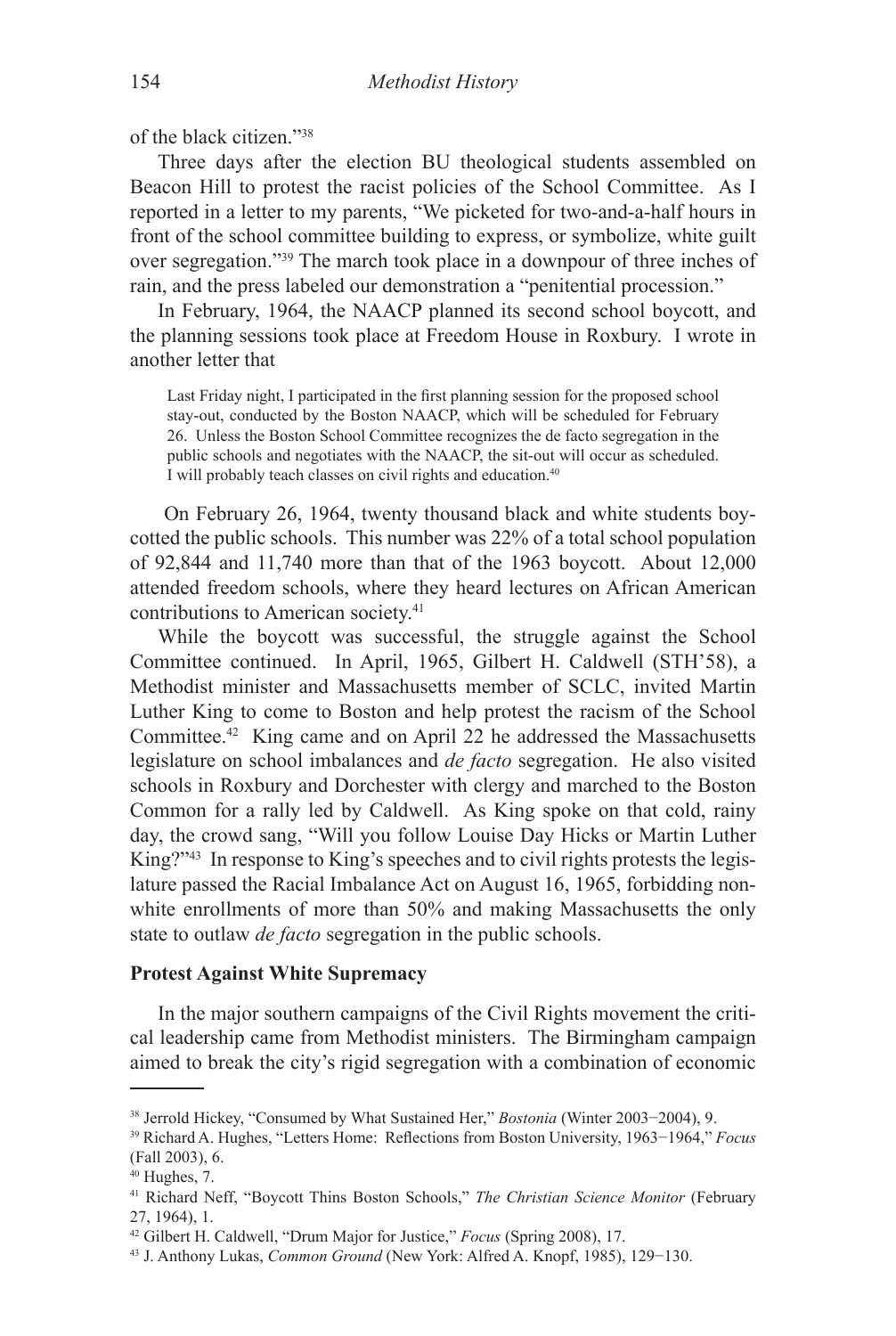of the black citizen<sup>"38</sup>

Three days after the election BU theological students assembled on Beacon Hill to protest the racist policies of the School Committee. As I reported in a letter to my parents, "We picketed for two-and-a-half hours in front of the school committee building to express, or symbolize, white guilt over segregation."39 The march took place in a downpour of three inches of rain, and the press labeled our demonstration a "penitential procession."

In February, 1964, the NAACP planned its second school boycott, and the planning sessions took place at Freedom House in Roxbury. I wrote in another letter that

Last Friday night, I participated in the first planning session for the proposed school stay-out, conducted by the Boston NAACP, which will be scheduled for February 26. Unless the Boston School Committee recognizes the de facto segregation in the public schools and negotiates with the NAACP, the sit-out will occur as scheduled. I will probably teach classes on civil rights and education.<sup>40</sup>

 On February 26, 1964, twenty thousand black and white students boycotted the public schools. This number was 22% of a total school population of 92,844 and 11,740 more than that of the 1963 boycott. About 12,000 attended freedom schools, where they heard lectures on African American contributions to American society.41

While the boycott was successful, the struggle against the School Committee continued. In April, 1965, Gilbert H. Caldwell (STH'58), a Methodist minister and Massachusetts member of SCLC, invited Martin Luther King to come to Boston and help protest the racism of the School Committee.42 King came and on April 22 he addressed the Massachusetts legislature on school imbalances and *de facto* segregation. He also visited schools in Roxbury and Dorchester with clergy and marched to the Boston Common for a rally led by Caldwell. As King spoke on that cold, rainy day, the crowd sang, "Will you follow Louise Day Hicks or Martin Luther King?"43 In response to King's speeches and to civil rights protests the legislature passed the Racial Imbalance Act on August 16, 1965, forbidding nonwhite enrollments of more than 50% and making Massachusetts the only state to outlaw *de facto* segregation in the public schools.

# **Protest Against White Supremacy**

In the major southern campaigns of the Civil Rights movement the critical leadership came from Methodist ministers. The Birmingham campaign aimed to break the city's rigid segregation with a combination of economic

<sup>38</sup> Jerrold Hickey, "Consumed by What Sustained Her," *Bostonia* (Winter 2003−2004), 9.

<sup>39</sup> Richard A. Hughes, "Letters Home: Reflections from Boston University, 1963−1964," *Focus* (Fall 2003), 6.

 $40$  Hughes, 7.

<sup>41</sup> Richard Neff, "Boycott Thins Boston Schools," *The Christian Science Monitor* (February 27, 1964), 1.

<sup>42</sup> Gilbert H. Caldwell, "Drum Major for Justice," *Focus* (Spring 2008), 17.

<sup>43</sup> J. Anthony Lukas, *Common Ground* (New York: Alfred A. Knopf, 1985), 129−130.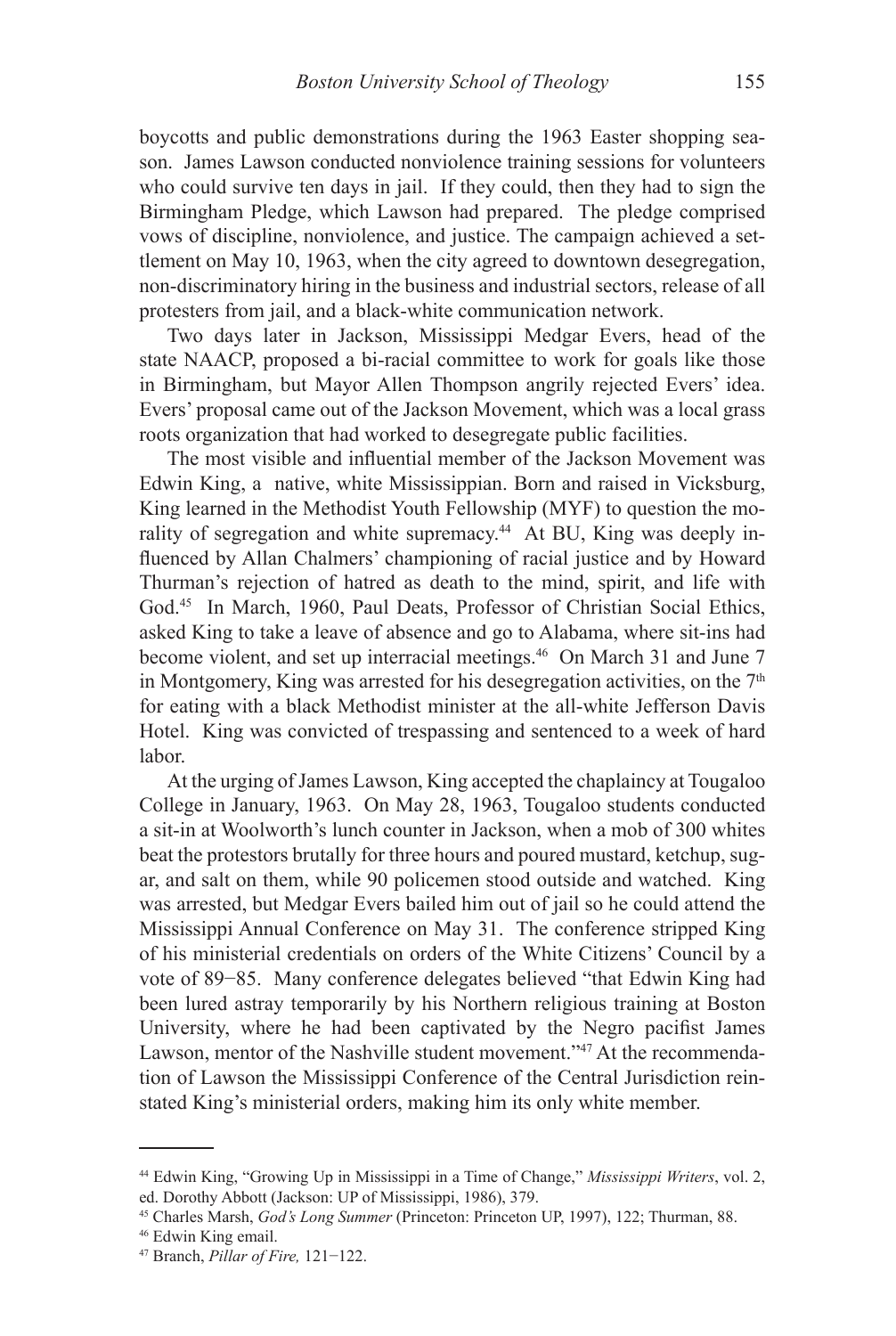boycotts and public demonstrations during the 1963 Easter shopping season. James Lawson conducted nonviolence training sessions for volunteers who could survive ten days in jail. If they could, then they had to sign the Birmingham Pledge, which Lawson had prepared. The pledge comprised vows of discipline, nonviolence, and justice. The campaign achieved a settlement on May 10, 1963, when the city agreed to downtown desegregation, non-discriminatory hiring in the business and industrial sectors, release of all protesters from jail, and a black-white communication network.

Two days later in Jackson, Mississippi Medgar Evers, head of the state NAACP, proposed a bi-racial committee to work for goals like those in Birmingham, but Mayor Allen Thompson angrily rejected Evers' idea. Evers' proposal came out of the Jackson Movement, which was a local grass roots organization that had worked to desegregate public facilities.

The most visible and influential member of the Jackson Movement was Edwin King, a native, white Mississippian. Born and raised in Vicksburg, King learned in the Methodist Youth Fellowship (MYF) to question the morality of segregation and white supremacy.<sup>44</sup> At BU, King was deeply influenced by Allan Chalmers' championing of racial justice and by Howard Thurman's rejection of hatred as death to the mind, spirit, and life with God.45 In March, 1960, Paul Deats, Professor of Christian Social Ethics, asked King to take a leave of absence and go to Alabama, where sit-ins had become violent, and set up interracial meetings.<sup>46</sup> On March 31 and June 7 in Montgomery, King was arrested for his desegregation activities, on the  $7<sup>th</sup>$ for eating with a black Methodist minister at the all-white Jefferson Davis Hotel. King was convicted of trespassing and sentenced to a week of hard labor.

At the urging of James Lawson, King accepted the chaplaincy at Tougaloo College in January, 1963. On May 28, 1963, Tougaloo students conducted a sit-in at Woolworth's lunch counter in Jackson, when a mob of 300 whites beat the protestors brutally for three hours and poured mustard, ketchup, sugar, and salt on them, while 90 policemen stood outside and watched. King was arrested, but Medgar Evers bailed him out of jail so he could attend the Mississippi Annual Conference on May 31. The conference stripped King of his ministerial credentials on orders of the White Citizens' Council by a vote of 89−85. Many conference delegates believed "that Edwin King had been lured astray temporarily by his Northern religious training at Boston University, where he had been captivated by the Negro pacifist James Lawson, mentor of the Nashville student movement."<sup>47</sup> At the recommendation of Lawson the Mississippi Conference of the Central Jurisdiction reinstated King's ministerial orders, making him its only white member.

<sup>44</sup> Edwin King, "Growing Up in Mississippi in a Time of Change," *Mississippi Writers*, vol. 2, ed. Dorothy Abbott (Jackson: UP of Mississippi, 1986), 379.

<sup>45</sup> Charles Marsh, *God's Long Summer* (Princeton: Princeton UP, 1997), 122; Thurman, 88.

<sup>46</sup> Edwin King email.

<sup>47</sup> Branch, *Pillar of Fire,* 121−122.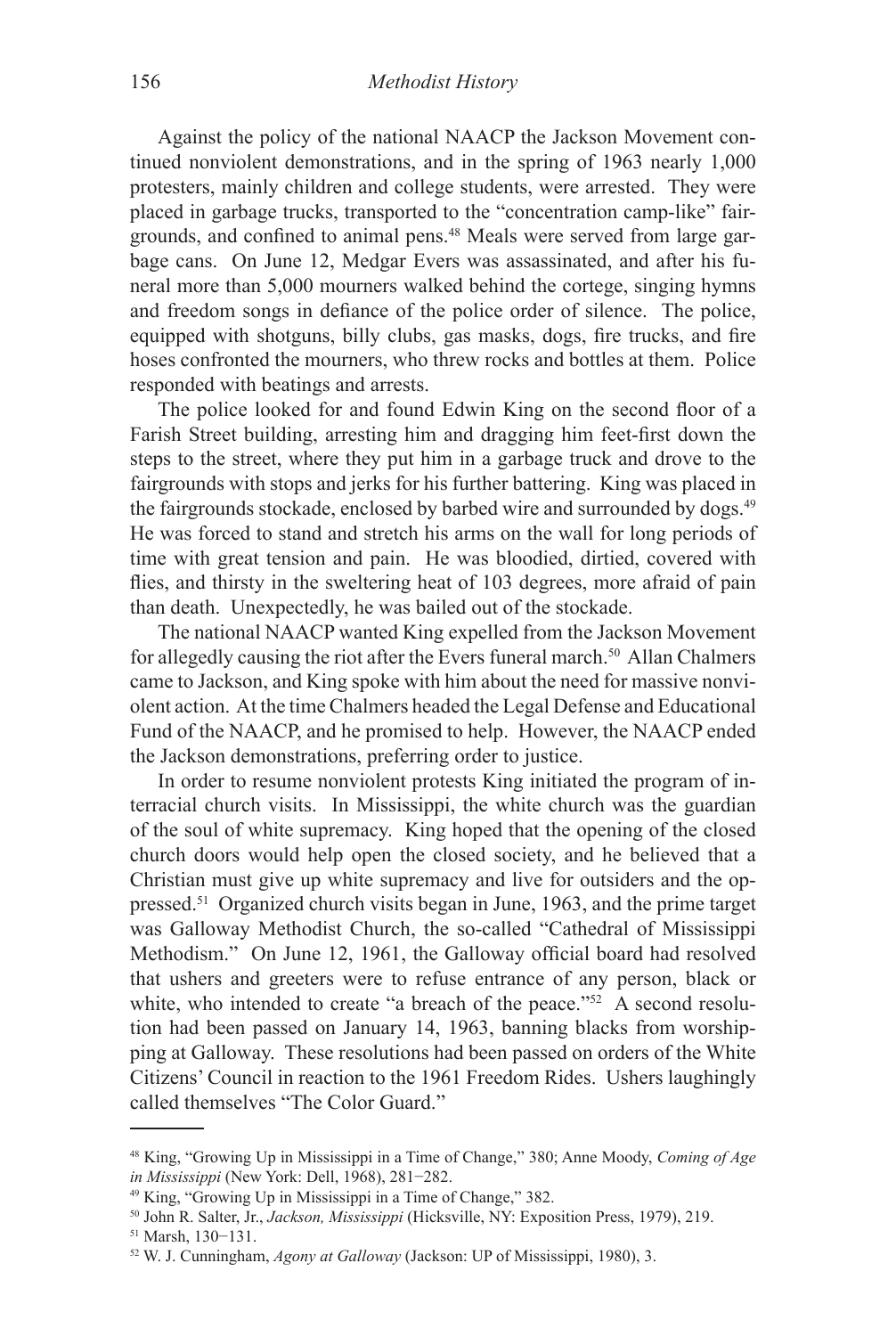Against the policy of the national NAACP the Jackson Movement continued nonviolent demonstrations, and in the spring of 1963 nearly 1,000 protesters, mainly children and college students, were arrested. They were placed in garbage trucks, transported to the "concentration camp-like" fairgrounds, and confined to animal pens.48 Meals were served from large garbage cans. On June 12, Medgar Evers was assassinated, and after his funeral more than 5,000 mourners walked behind the cortege, singing hymns and freedom songs in defiance of the police order of silence. The police, equipped with shotguns, billy clubs, gas masks, dogs, fire trucks, and fire hoses confronted the mourners, who threw rocks and bottles at them. Police responded with beatings and arrests.

The police looked for and found Edwin King on the second floor of a Farish Street building, arresting him and dragging him feet-first down the steps to the street, where they put him in a garbage truck and drove to the fairgrounds with stops and jerks for his further battering. King was placed in the fairgrounds stockade, enclosed by barbed wire and surrounded by dogs.49 He was forced to stand and stretch his arms on the wall for long periods of time with great tension and pain. He was bloodied, dirtied, covered with flies, and thirsty in the sweltering heat of 103 degrees, more afraid of pain than death. Unexpectedly, he was bailed out of the stockade.

The national NAACP wanted King expelled from the Jackson Movement for allegedly causing the riot after the Evers funeral march.<sup>50</sup> Allan Chalmers came to Jackson, and King spoke with him about the need for massive nonviolent action. At the time Chalmers headed the Legal Defense and Educational Fund of the NAACP, and he promised to help. However, the NAACP ended the Jackson demonstrations, preferring order to justice.

In order to resume nonviolent protests King initiated the program of interracial church visits. In Mississippi, the white church was the guardian of the soul of white supremacy. King hoped that the opening of the closed church doors would help open the closed society, and he believed that a Christian must give up white supremacy and live for outsiders and the oppressed.51 Organized church visits began in June, 1963, and the prime target was Galloway Methodist Church, the so-called "Cathedral of Mississippi Methodism." On June 12, 1961, the Galloway official board had resolved that ushers and greeters were to refuse entrance of any person, black or white, who intended to create "a breach of the peace."<sup>52</sup> A second resolution had been passed on January 14, 1963, banning blacks from worshipping at Galloway. These resolutions had been passed on orders of the White Citizens' Council in reaction to the 1961 Freedom Rides. Ushers laughingly called themselves "The Color Guard."

<sup>48</sup> King, "Growing Up in Mississippi in a Time of Change," 380; Anne Moody, *Coming of Age in Mississippi* (New York: Dell, 1968), 281−282.

<sup>49</sup> King, "Growing Up in Mississippi in a Time of Change," 382.

<sup>50</sup> John R. Salter, Jr., *Jackson, Mississippi* (Hicksville, NY: Exposition Press, 1979), 219.

<sup>51</sup> Marsh, 130−131.

<sup>52</sup> W. J. Cunningham, *Agony at Galloway* (Jackson: UP of Mississippi, 1980), 3.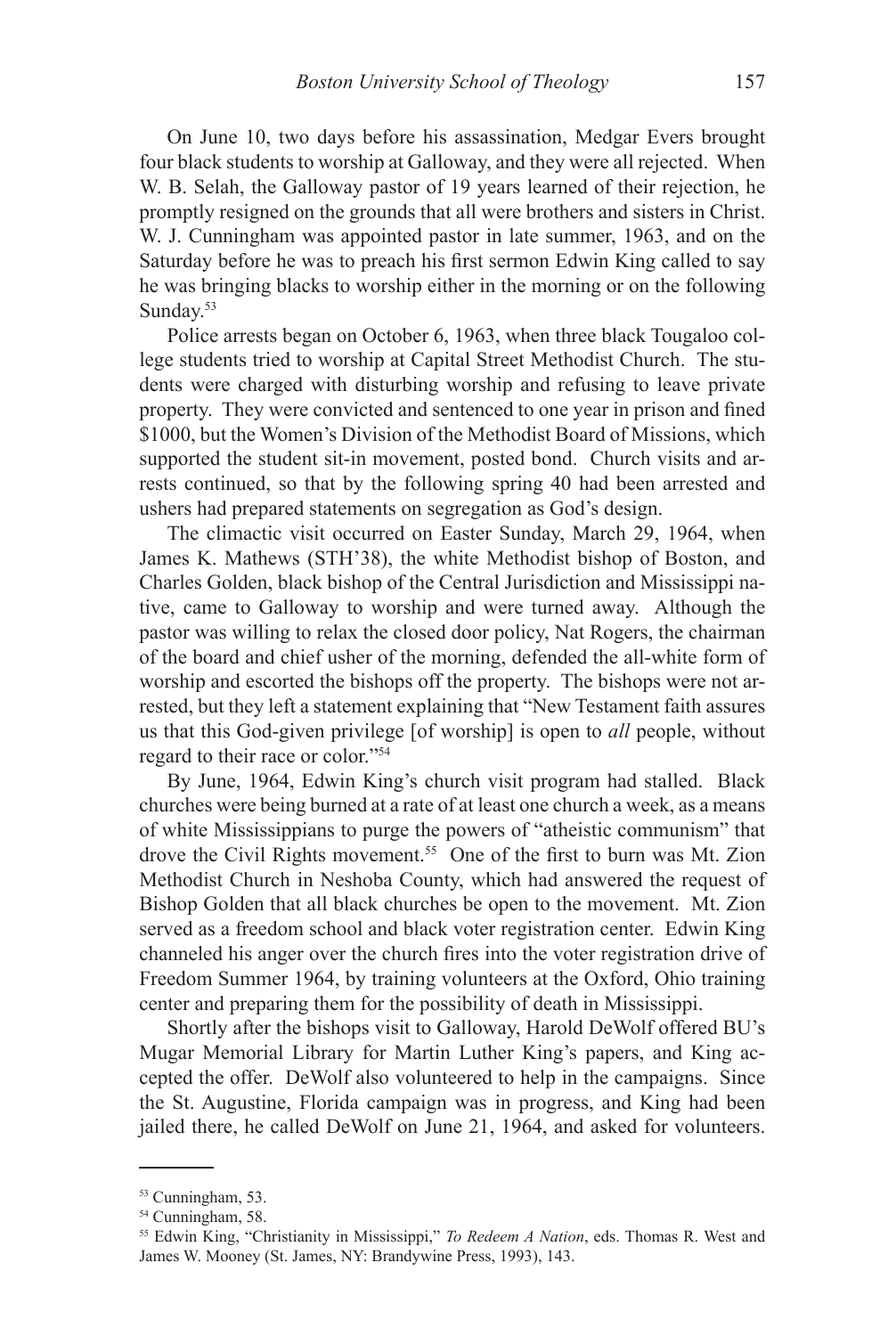On June 10, two days before his assassination, Medgar Evers brought four black students to worship at Galloway, and they were all rejected. When W. B. Selah, the Galloway pastor of 19 years learned of their rejection, he promptly resigned on the grounds that all were brothers and sisters in Christ. W. J. Cunningham was appointed pastor in late summer, 1963, and on the Saturday before he was to preach his first sermon Edwin King called to say he was bringing blacks to worship either in the morning or on the following Sunday.<sup>53</sup>

Police arrests began on October 6, 1963, when three black Tougaloo college students tried to worship at Capital Street Methodist Church. The students were charged with disturbing worship and refusing to leave private property. They were convicted and sentenced to one year in prison and fined \$1000, but the Women's Division of the Methodist Board of Missions, which supported the student sit-in movement, posted bond. Church visits and arrests continued, so that by the following spring 40 had been arrested and ushers had prepared statements on segregation as God's design.

The climactic visit occurred on Easter Sunday, March 29, 1964, when James K. Mathews (STH'38), the white Methodist bishop of Boston, and Charles Golden, black bishop of the Central Jurisdiction and Mississippi native, came to Galloway to worship and were turned away. Although the pastor was willing to relax the closed door policy, Nat Rogers, the chairman of the board and chief usher of the morning, defended the all-white form of worship and escorted the bishops off the property. The bishops were not arrested, but they left a statement explaining that "New Testament faith assures us that this God-given privilege [of worship] is open to *all* people, without regard to their race or color."54

By June, 1964, Edwin King's church visit program had stalled. Black churches were being burned at a rate of at least one church a week, as a means of white Mississippians to purge the powers of "atheistic communism" that drove the Civil Rights movement.<sup>55</sup> One of the first to burn was Mt. Zion Methodist Church in Neshoba County, which had answered the request of Bishop Golden that all black churches be open to the movement. Mt. Zion served as a freedom school and black voter registration center. Edwin King channeled his anger over the church fires into the voter registration drive of Freedom Summer 1964, by training volunteers at the Oxford, Ohio training center and preparing them for the possibility of death in Mississippi.

Shortly after the bishops visit to Galloway, Harold DeWolf offered BU's Mugar Memorial Library for Martin Luther King's papers, and King accepted the offer. DeWolf also volunteered to help in the campaigns. Since the St. Augustine, Florida campaign was in progress, and King had been jailed there, he called DeWolf on June 21, 1964, and asked for volunteers.

<sup>53</sup> Cunningham, 53.

<sup>54</sup> Cunningham, 58.

<sup>55</sup> Edwin King, "Christianity in Mississippi," *To Redeem A Nation*, eds. Thomas R. West and James W. Mooney (St. James, NY: Brandywine Press, 1993), 143.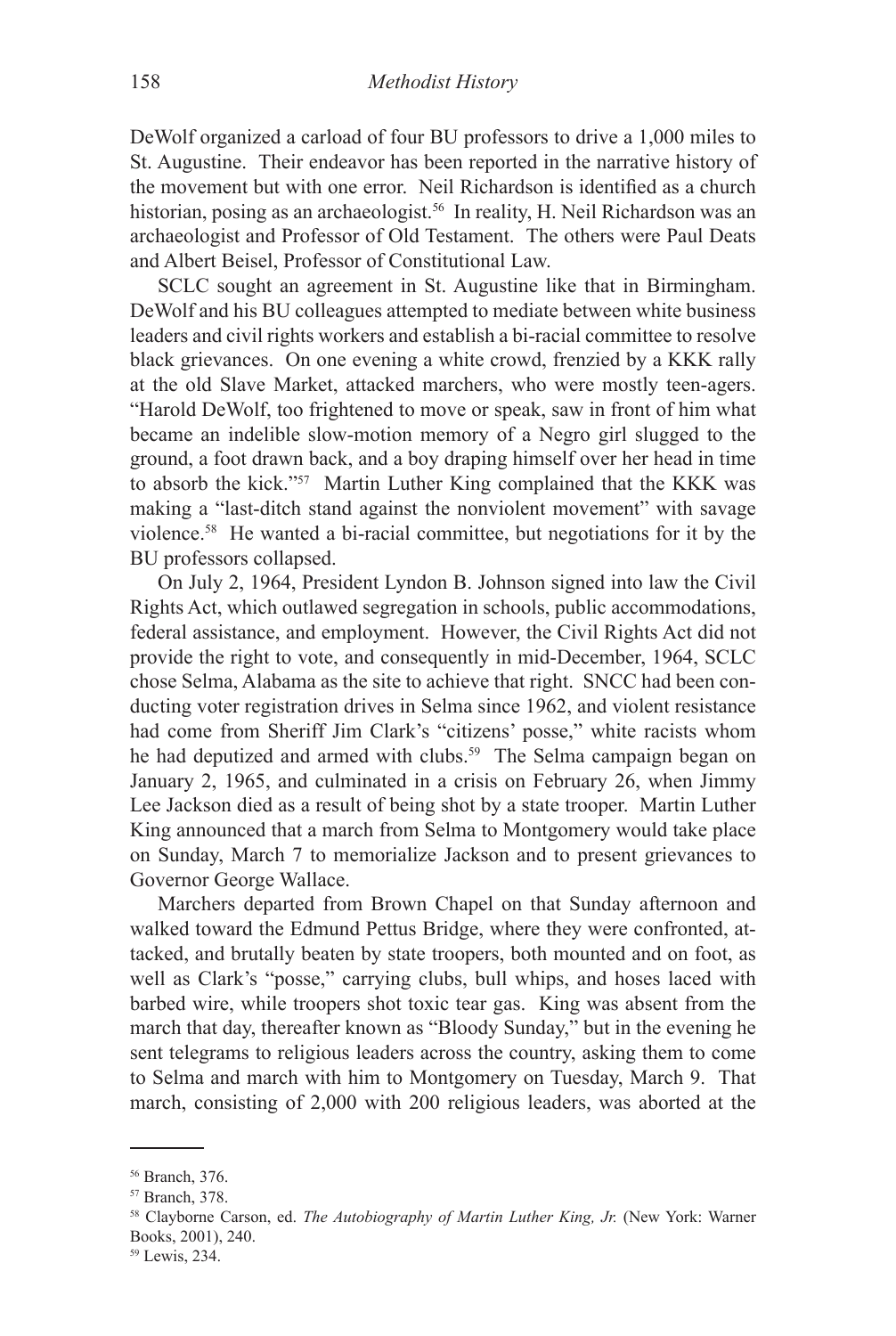DeWolf organized a carload of four BU professors to drive a 1,000 miles to St. Augustine. Their endeavor has been reported in the narrative history of the movement but with one error. Neil Richardson is identified as a church historian, posing as an archaeologist.<sup>56</sup> In reality, H. Neil Richardson was an archaeologist and Professor of Old Testament. The others were Paul Deats and Albert Beisel, Professor of Constitutional Law.

SCLC sought an agreement in St. Augustine like that in Birmingham. DeWolf and his BU colleagues attempted to mediate between white business leaders and civil rights workers and establish a bi-racial committee to resolve black grievances. On one evening a white crowd, frenzied by a KKK rally at the old Slave Market, attacked marchers, who were mostly teen-agers. "Harold DeWolf, too frightened to move or speak, saw in front of him what became an indelible slow-motion memory of a Negro girl slugged to the ground, a foot drawn back, and a boy draping himself over her head in time to absorb the kick."57 Martin Luther King complained that the KKK was making a "last-ditch stand against the nonviolent movement" with savage violence.58 He wanted a bi-racial committee, but negotiations for it by the BU professors collapsed.

On July 2, 1964, President Lyndon B. Johnson signed into law the Civil Rights Act, which outlawed segregation in schools, public accommodations, federal assistance, and employment. However, the Civil Rights Act did not provide the right to vote, and consequently in mid-December, 1964, SCLC chose Selma, Alabama as the site to achieve that right. SNCC had been conducting voter registration drives in Selma since 1962, and violent resistance had come from Sheriff Jim Clark's "citizens' posse," white racists whom he had deputized and armed with clubs.<sup>59</sup> The Selma campaign began on January 2, 1965, and culminated in a crisis on February 26, when Jimmy Lee Jackson died as a result of being shot by a state trooper. Martin Luther King announced that a march from Selma to Montgomery would take place on Sunday, March 7 to memorialize Jackson and to present grievances to Governor George Wallace.

Marchers departed from Brown Chapel on that Sunday afternoon and walked toward the Edmund Pettus Bridge, where they were confronted, attacked, and brutally beaten by state troopers, both mounted and on foot, as well as Clark's "posse," carrying clubs, bull whips, and hoses laced with barbed wire, while troopers shot toxic tear gas. King was absent from the march that day, thereafter known as "Bloody Sunday," but in the evening he sent telegrams to religious leaders across the country, asking them to come to Selma and march with him to Montgomery on Tuesday, March 9. That march, consisting of 2,000 with 200 religious leaders, was aborted at the

<sup>56</sup> Branch, 376.

<sup>57</sup> Branch, 378.

<sup>58</sup> Clayborne Carson, ed. *The Autobiography of Martin Luther King, Jr.* (New York: Warner Books, 2001), 240.

<sup>59</sup> Lewis, 234.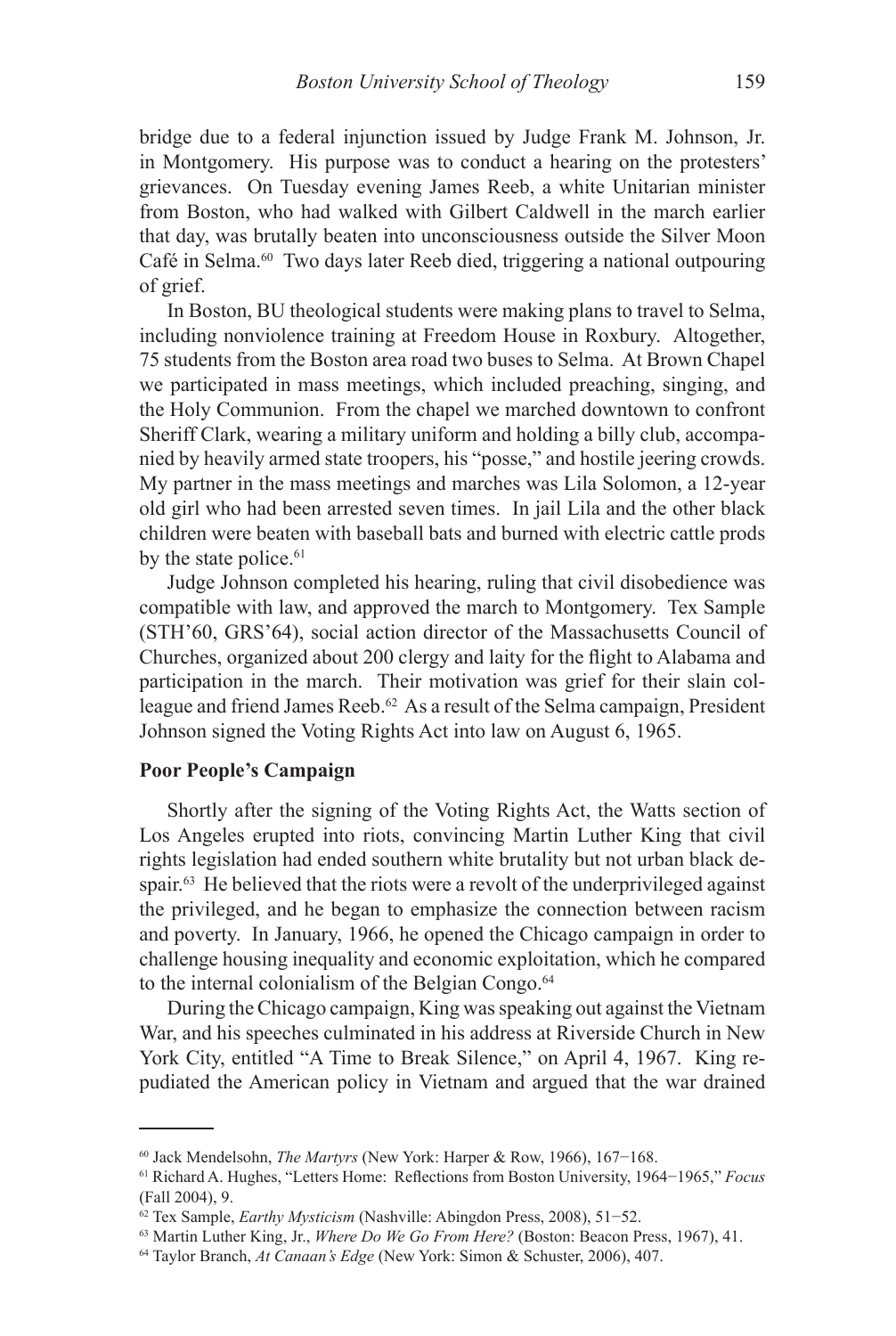bridge due to a federal injunction issued by Judge Frank M. Johnson, Jr. in Montgomery. His purpose was to conduct a hearing on the protesters' grievances. On Tuesday evening James Reeb, a white Unitarian minister from Boston, who had walked with Gilbert Caldwell in the march earlier that day, was brutally beaten into unconsciousness outside the Silver Moon Café in Selma.60 Two days later Reeb died, triggering a national outpouring of grief.

In Boston, BU theological students were making plans to travel to Selma, including nonviolence training at Freedom House in Roxbury. Altogether, 75 students from the Boston area road two buses to Selma. At Brown Chapel we participated in mass meetings, which included preaching, singing, and the Holy Communion. From the chapel we marched downtown to confront Sheriff Clark, wearing a military uniform and holding a billy club, accompanied by heavily armed state troopers, his "posse," and hostile jeering crowds. My partner in the mass meetings and marches was Lila Solomon, a 12-year old girl who had been arrested seven times. In jail Lila and the other black children were beaten with baseball bats and burned with electric cattle prods by the state police.<sup>61</sup>

Judge Johnson completed his hearing, ruling that civil disobedience was compatible with law, and approved the march to Montgomery. Tex Sample (STH'60, GRS'64), social action director of the Massachusetts Council of Churches, organized about 200 clergy and laity for the flight to Alabama and participation in the march. Their motivation was grief for their slain colleague and friend James Reeb.<sup>62</sup> As a result of the Selma campaign, President Johnson signed the Voting Rights Act into law on August 6, 1965.

### **Poor People's Campaign**

Shortly after the signing of the Voting Rights Act, the Watts section of Los Angeles erupted into riots, convincing Martin Luther King that civil rights legislation had ended southern white brutality but not urban black despair.<sup>63</sup> He believed that the riots were a revolt of the underprivileged against the privileged, and he began to emphasize the connection between racism and poverty. In January, 1966, he opened the Chicago campaign in order to challenge housing inequality and economic exploitation, which he compared to the internal colonialism of the Belgian Congo.<sup>64</sup>

During the Chicago campaign, King was speaking out against the Vietnam War, and his speeches culminated in his address at Riverside Church in New York City, entitled "A Time to Break Silence," on April 4, 1967. King repudiated the American policy in Vietnam and argued that the war drained

<sup>60</sup> Jack Mendelsohn, *The Martyrs* (New York: Harper & Row, 1966), 167−168.

<sup>61</sup> Richard A. Hughes, "Letters Home: Reflections from Boston University, 1964−1965," *Focus* (Fall 2004), 9.

<sup>62</sup> Tex Sample, *Earthy Mysticism* (Nashville: Abingdon Press, 2008), 51−52.

<sup>63</sup> Martin Luther King, Jr., *Where Do We Go From Here?* (Boston: Beacon Press, 1967), 41.

<sup>64</sup> Taylor Branch, *At Canaan's Edge* (New York: Simon & Schuster, 2006), 407.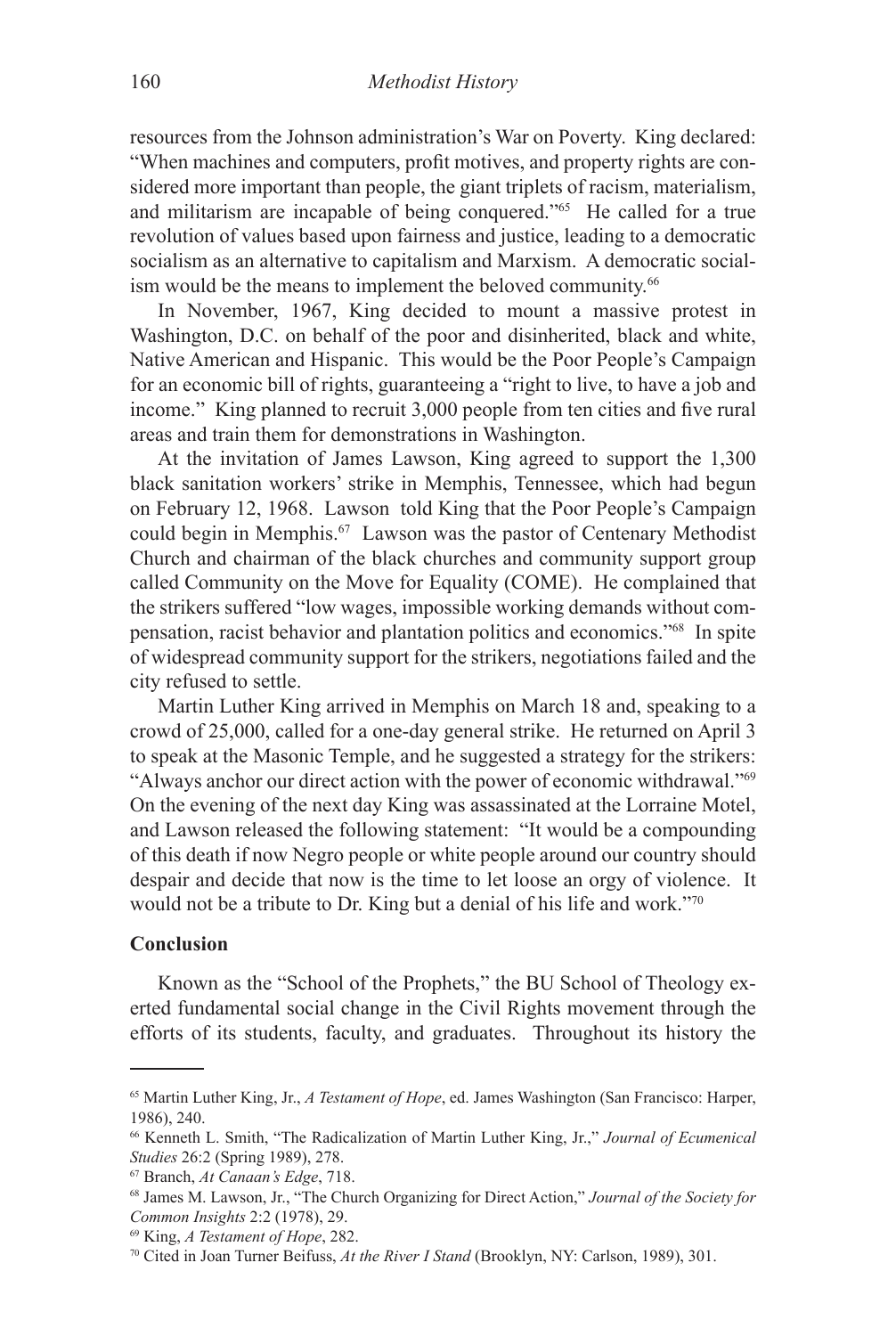resources from the Johnson administration's War on Poverty. King declared: "When machines and computers, profit motives, and property rights are considered more important than people, the giant triplets of racism, materialism, and militarism are incapable of being conquered."65 He called for a true revolution of values based upon fairness and justice, leading to a democratic socialism as an alternative to capitalism and Marxism. A democratic socialism would be the means to implement the beloved community.<sup>66</sup>

In November, 1967, King decided to mount a massive protest in Washington, D.C. on behalf of the poor and disinherited, black and white, Native American and Hispanic. This would be the Poor People's Campaign for an economic bill of rights, guaranteeing a "right to live, to have a job and income." King planned to recruit 3,000 people from ten cities and five rural areas and train them for demonstrations in Washington.

At the invitation of James Lawson, King agreed to support the 1,300 black sanitation workers' strike in Memphis, Tennessee, which had begun on February 12, 1968. Lawson told King that the Poor People's Campaign could begin in Memphis.67 Lawson was the pastor of Centenary Methodist Church and chairman of the black churches and community support group called Community on the Move for Equality (COME). He complained that the strikers suffered "low wages, impossible working demands without compensation, racist behavior and plantation politics and economics."68 In spite of widespread community support for the strikers, negotiations failed and the city refused to settle.

Martin Luther King arrived in Memphis on March 18 and, speaking to a crowd of 25,000, called for a one-day general strike. He returned on April 3 to speak at the Masonic Temple, and he suggested a strategy for the strikers: "Always anchor our direct action with the power of economic withdrawal."69 On the evening of the next day King was assassinated at the Lorraine Motel, and Lawson released the following statement: "It would be a compounding of this death if now Negro people or white people around our country should despair and decide that now is the time to let loose an orgy of violence. It would not be a tribute to Dr. King but a denial of his life and work."70

### **Conclusion**

Known as the "School of the Prophets," the BU School of Theology exerted fundamental social change in the Civil Rights movement through the efforts of its students, faculty, and graduates. Throughout its history the

<sup>65</sup> Martin Luther King, Jr., *A Testament of Hope*, ed. James Washington (San Francisco: Harper, 1986), 240.

<sup>66</sup> Kenneth L. Smith, "The Radicalization of Martin Luther King, Jr.," *Journal of Ecumenical Studies* 26:2 (Spring 1989), 278.

<sup>&</sup>lt;sup>67</sup> Branch, *At Canaan's Edge*, 718.<br><sup>68</sup> James M. Lawson, Jr., "The Church Organizing for Direct Action," *Journal of the Society for Common Insights* 2:2 (1978), 29.

<sup>69</sup> King, *A Testament of Hope*, 282.

<sup>70</sup> Cited in Joan Turner Beifuss, *At the River I Stand* (Brooklyn, NY: Carlson, 1989), 301.